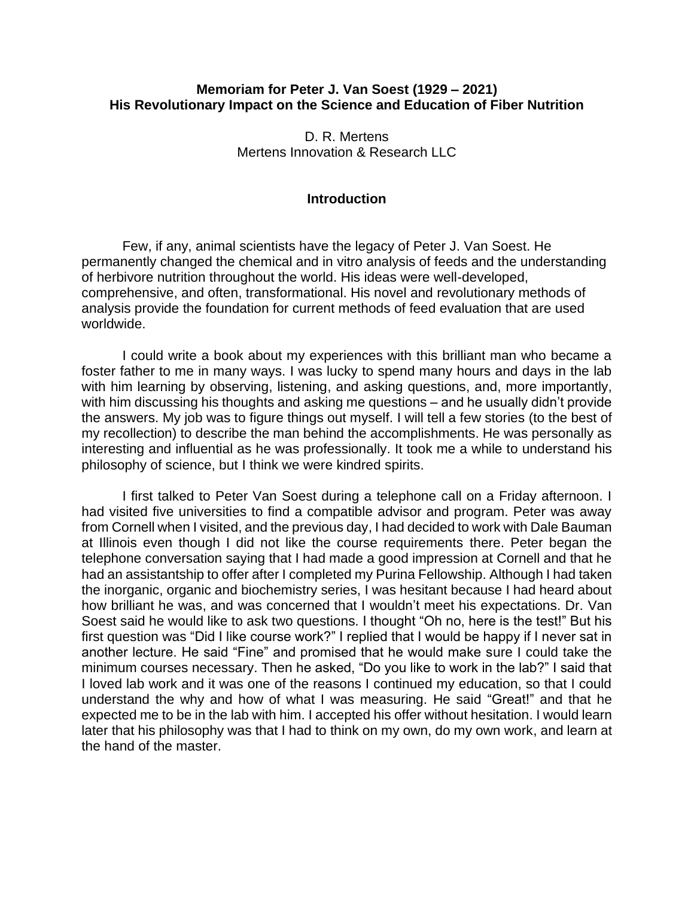## **Memoriam for Peter J. Van Soest (1929 – 2021) His Revolutionary Impact on the Science and Education of Fiber Nutrition**

D. R. Mertens Mertens Innovation & Research LLC

### **Introduction**

Few, if any, animal scientists have the legacy of Peter J. Van Soest. He permanently changed the chemical and in vitro analysis of feeds and the understanding of herbivore nutrition throughout the world. His ideas were well-developed, comprehensive, and often, transformational. His novel and revolutionary methods of analysis provide the foundation for current methods of feed evaluation that are used worldwide.

I could write a book about my experiences with this brilliant man who became a foster father to me in many ways. I was lucky to spend many hours and days in the lab with him learning by observing, listening, and asking questions, and, more importantly, with him discussing his thoughts and asking me questions – and he usually didn't provide the answers. My job was to figure things out myself. I will tell a few stories (to the best of my recollection) to describe the man behind the accomplishments. He was personally as interesting and influential as he was professionally. It took me a while to understand his philosophy of science, but I think we were kindred spirits.

I first talked to Peter Van Soest during a telephone call on a Friday afternoon. I had visited five universities to find a compatible advisor and program. Peter was away from Cornell when I visited, and the previous day, I had decided to work with Dale Bauman at Illinois even though I did not like the course requirements there. Peter began the telephone conversation saying that I had made a good impression at Cornell and that he had an assistantship to offer after I completed my Purina Fellowship. Although I had taken the inorganic, organic and biochemistry series, I was hesitant because I had heard about how brilliant he was, and was concerned that I wouldn't meet his expectations. Dr. Van Soest said he would like to ask two questions. I thought "Oh no, here is the test!" But his first question was "Did I like course work?" I replied that I would be happy if I never sat in another lecture. He said "Fine" and promised that he would make sure I could take the minimum courses necessary. Then he asked, "Do you like to work in the lab?" I said that I loved lab work and it was one of the reasons I continued my education, so that I could understand the why and how of what I was measuring. He said "Great!" and that he expected me to be in the lab with him. I accepted his offer without hesitation. I would learn later that his philosophy was that I had to think on my own, do my own work, and learn at the hand of the master.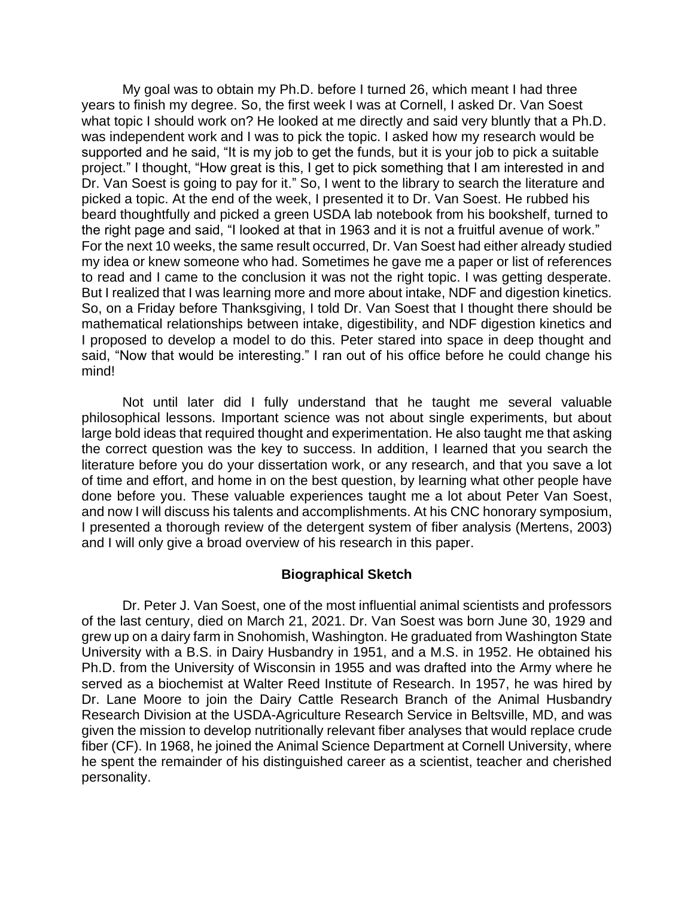My goal was to obtain my Ph.D. before I turned 26, which meant I had three years to finish my degree. So, the first week I was at Cornell, I asked Dr. Van Soest what topic I should work on? He looked at me directly and said very bluntly that a Ph.D. was independent work and I was to pick the topic. I asked how my research would be supported and he said, "It is my job to get the funds, but it is your job to pick a suitable project." I thought, "How great is this, I get to pick something that I am interested in and Dr. Van Soest is going to pay for it." So, I went to the library to search the literature and picked a topic. At the end of the week, I presented it to Dr. Van Soest. He rubbed his beard thoughtfully and picked a green USDA lab notebook from his bookshelf, turned to the right page and said, "I looked at that in 1963 and it is not a fruitful avenue of work." For the next 10 weeks, the same result occurred, Dr. Van Soest had either already studied my idea or knew someone who had. Sometimes he gave me a paper or list of references to read and I came to the conclusion it was not the right topic. I was getting desperate. But I realized that I was learning more and more about intake, NDF and digestion kinetics. So, on a Friday before Thanksgiving, I told Dr. Van Soest that I thought there should be mathematical relationships between intake, digestibility, and NDF digestion kinetics and I proposed to develop a model to do this. Peter stared into space in deep thought and said, "Now that would be interesting." I ran out of his office before he could change his mind!

Not until later did I fully understand that he taught me several valuable philosophical lessons. Important science was not about single experiments, but about large bold ideas that required thought and experimentation. He also taught me that asking the correct question was the key to success. In addition, I learned that you search the literature before you do your dissertation work, or any research, and that you save a lot of time and effort, and home in on the best question, by learning what other people have done before you. These valuable experiences taught me a lot about Peter Van Soest, and now I will discuss his talents and accomplishments. At his CNC honorary symposium, I presented a thorough review of the detergent system of fiber analysis (Mertens, 2003) and I will only give a broad overview of his research in this paper.

## **Biographical Sketch**

Dr. Peter J. Van Soest, one of the most influential animal scientists and professors of the last century, died on March 21, 2021. Dr. Van Soest was born June 30, 1929 and grew up on a dairy farm in Snohomish, Washington. He graduated from Washington State University with a B.S. in Dairy Husbandry in 1951, and a M.S. in 1952. He obtained his Ph.D. from the University of Wisconsin in 1955 and was drafted into the Army where he served as a biochemist at Walter Reed Institute of Research. In 1957, he was hired by Dr. Lane Moore to join the Dairy Cattle Research Branch of the Animal Husbandry Research Division at the USDA-Agriculture Research Service in Beltsville, MD, and was given the mission to develop nutritionally relevant fiber analyses that would replace crude fiber (CF). In 1968, he joined the Animal Science Department at Cornell University, where he spent the remainder of his distinguished career as a scientist, teacher and cherished personality.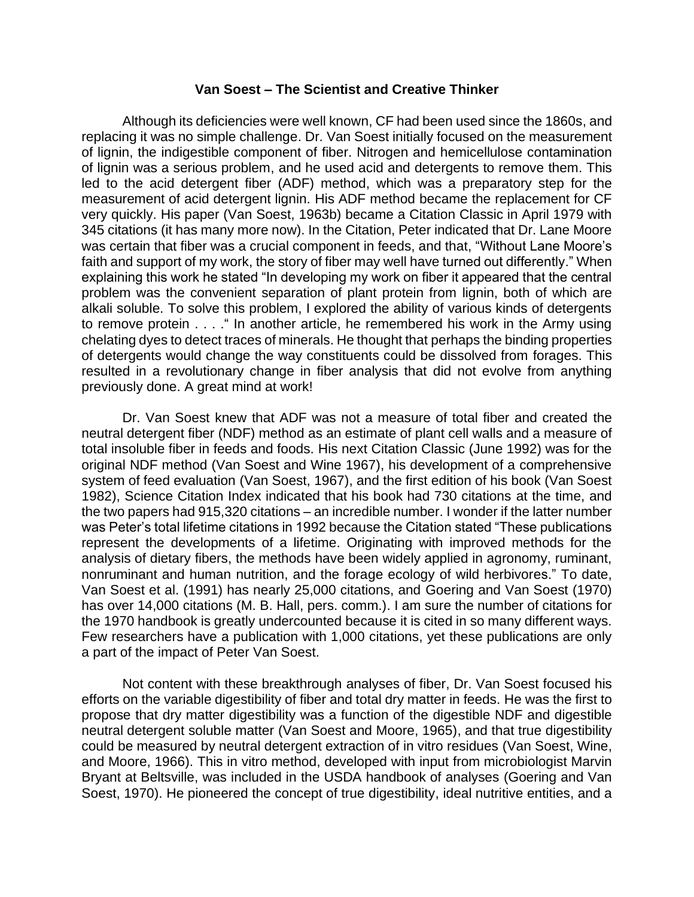### **Van Soest – The Scientist and Creative Thinker**

Although its deficiencies were well known, CF had been used since the 1860s, and replacing it was no simple challenge. Dr. Van Soest initially focused on the measurement of lignin, the indigestible component of fiber. Nitrogen and hemicellulose contamination of lignin was a serious problem, and he used acid and detergents to remove them. This led to the acid detergent fiber (ADF) method, which was a preparatory step for the measurement of acid detergent lignin. His ADF method became the replacement for CF very quickly. His paper (Van Soest, 1963b) became a Citation Classic in April 1979 with 345 citations (it has many more now). In the Citation, Peter indicated that Dr. Lane Moore was certain that fiber was a crucial component in feeds, and that, "Without Lane Moore's faith and support of my work, the story of fiber may well have turned out differently." When explaining this work he stated "In developing my work on fiber it appeared that the central problem was the convenient separation of plant protein from lignin, both of which are alkali soluble. To solve this problem, I explored the ability of various kinds of detergents to remove protein . . . ." In another article, he remembered his work in the Army using chelating dyes to detect traces of minerals. He thought that perhaps the binding properties of detergents would change the way constituents could be dissolved from forages. This resulted in a revolutionary change in fiber analysis that did not evolve from anything previously done. A great mind at work!

Dr. Van Soest knew that ADF was not a measure of total fiber and created the neutral detergent fiber (NDF) method as an estimate of plant cell walls and a measure of total insoluble fiber in feeds and foods. His next Citation Classic (June 1992) was for the original NDF method (Van Soest and Wine 1967), his development of a comprehensive system of feed evaluation (Van Soest, 1967), and the first edition of his book (Van Soest 1982), Science Citation Index indicated that his book had 730 citations at the time, and the two papers had 915,320 citations – an incredible number. I wonder if the latter number was Peter's total lifetime citations in 1992 because the Citation stated "These publications represent the developments of a lifetime. Originating with improved methods for the analysis of dietary fibers, the methods have been widely applied in agronomy, ruminant, nonruminant and human nutrition, and the forage ecology of wild herbivores." To date, Van Soest et al. (1991) has nearly 25,000 citations, and Goering and Van Soest (1970) has over 14,000 citations (M. B. Hall, pers. comm.). I am sure the number of citations for the 1970 handbook is greatly undercounted because it is cited in so many different ways. Few researchers have a publication with 1,000 citations, yet these publications are only a part of the impact of Peter Van Soest.

Not content with these breakthrough analyses of fiber, Dr. Van Soest focused his efforts on the variable digestibility of fiber and total dry matter in feeds. He was the first to propose that dry matter digestibility was a function of the digestible NDF and digestible neutral detergent soluble matter (Van Soest and Moore, 1965), and that true digestibility could be measured by neutral detergent extraction of in vitro residues (Van Soest, Wine, and Moore, 1966). This in vitro method, developed with input from microbiologist Marvin Bryant at Beltsville, was included in the USDA handbook of analyses (Goering and Van Soest, 1970). He pioneered the concept of true digestibility, ideal nutritive entities, and a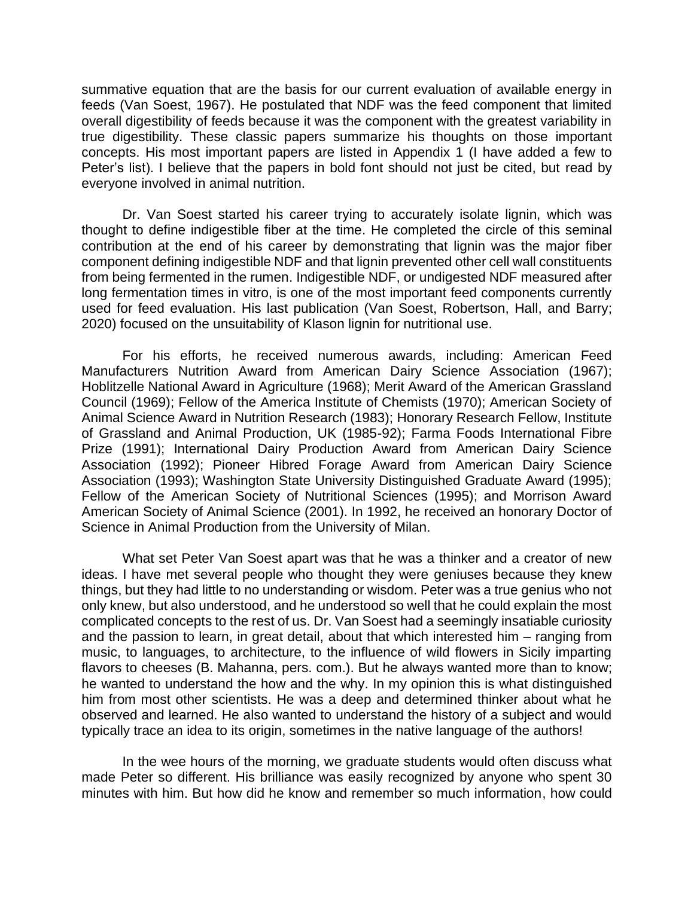summative equation that are the basis for our current evaluation of available energy in feeds (Van Soest, 1967). He postulated that NDF was the feed component that limited overall digestibility of feeds because it was the component with the greatest variability in true digestibility. These classic papers summarize his thoughts on those important concepts. His most important papers are listed in Appendix 1 (I have added a few to Peter's list). I believe that the papers in bold font should not just be cited, but read by everyone involved in animal nutrition.

Dr. Van Soest started his career trying to accurately isolate lignin, which was thought to define indigestible fiber at the time. He completed the circle of this seminal contribution at the end of his career by demonstrating that lignin was the major fiber component defining indigestible NDF and that lignin prevented other cell wall constituents from being fermented in the rumen. Indigestible NDF, or undigested NDF measured after long fermentation times in vitro, is one of the most important feed components currently used for feed evaluation. His last publication (Van Soest, Robertson, Hall, and Barry; 2020) focused on the unsuitability of Klason lignin for nutritional use.

For his efforts, he received numerous awards, including: American Feed Manufacturers Nutrition Award from American Dairy Science Association (1967); Hoblitzelle National Award in Agriculture (1968); Merit Award of the American Grassland Council (1969); Fellow of the America Institute of Chemists (1970); American Society of Animal Science Award in Nutrition Research (1983); Honorary Research Fellow, Institute of Grassland and Animal Production, UK (1985-92); Farma Foods International Fibre Prize (1991); International Dairy Production Award from American Dairy Science Association (1992); Pioneer Hibred Forage Award from American Dairy Science Association (1993); Washington State University Distinguished Graduate Award (1995); Fellow of the American Society of Nutritional Sciences (1995); and Morrison Award American Society of Animal Science (2001). In 1992, he received an honorary Doctor of Science in Animal Production from the University of Milan.

What set Peter Van Soest apart was that he was a thinker and a creator of new ideas. I have met several people who thought they were geniuses because they knew things, but they had little to no understanding or wisdom. Peter was a true genius who not only knew, but also understood, and he understood so well that he could explain the most complicated concepts to the rest of us. Dr. Van Soest had a seemingly insatiable curiosity and the passion to learn, in great detail, about that which interested him – ranging from music, to languages, to architecture, to the influence of wild flowers in Sicily imparting flavors to cheeses (B. Mahanna, pers. com.). But he always wanted more than to know; he wanted to understand the how and the why. In my opinion this is what distinguished him from most other scientists. He was a deep and determined thinker about what he observed and learned. He also wanted to understand the history of a subject and would typically trace an idea to its origin, sometimes in the native language of the authors!

In the wee hours of the morning, we graduate students would often discuss what made Peter so different. His brilliance was easily recognized by anyone who spent 30 minutes with him. But how did he know and remember so much information, how could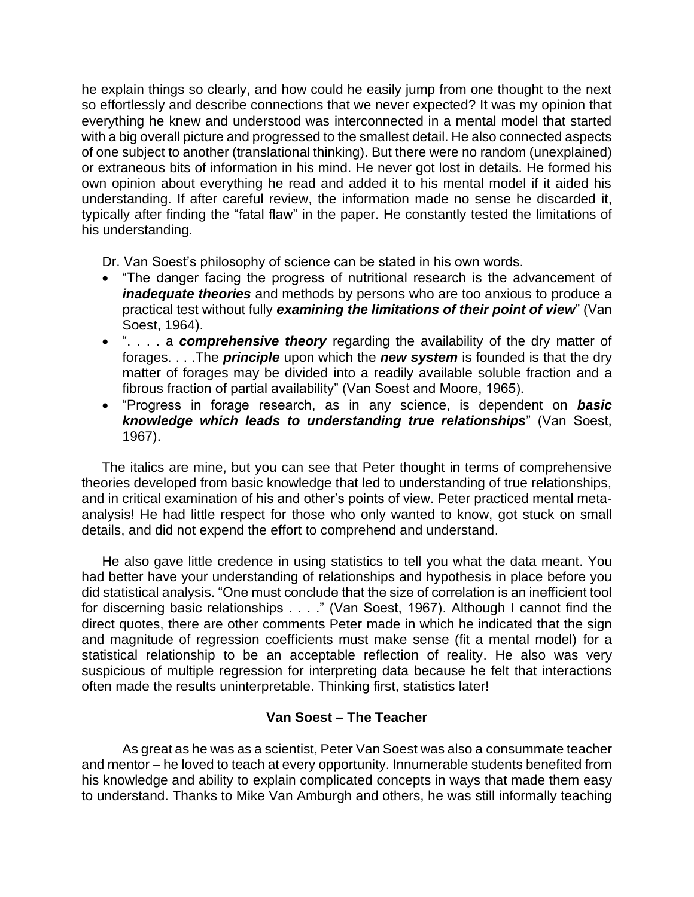he explain things so clearly, and how could he easily jump from one thought to the next so effortlessly and describe connections that we never expected? It was my opinion that everything he knew and understood was interconnected in a mental model that started with a big overall picture and progressed to the smallest detail. He also connected aspects of one subject to another (translational thinking). But there were no random (unexplained) or extraneous bits of information in his mind. He never got lost in details. He formed his own opinion about everything he read and added it to his mental model if it aided his understanding. If after careful review, the information made no sense he discarded it, typically after finding the "fatal flaw" in the paper. He constantly tested the limitations of his understanding.

Dr. Van Soest's philosophy of science can be stated in his own words.

- "The danger facing the progress of nutritional research is the advancement of *inadequate theories* and methods by persons who are too anxious to produce a practical test without fully *examining the limitations of their point of view*" (Van Soest, 1964).
- ". . . . a *comprehensive theory* regarding the availability of the dry matter of forages. . . .The *principle* upon which the *new system* is founded is that the dry matter of forages may be divided into a readily available soluble fraction and a fibrous fraction of partial availability" (Van Soest and Moore, 1965).
- "Progress in forage research, as in any science, is dependent on *basic knowledge which leads to understanding true relationships*" (Van Soest, 1967).

The italics are mine, but you can see that Peter thought in terms of comprehensive theories developed from basic knowledge that led to understanding of true relationships, and in critical examination of his and other's points of view. Peter practiced mental metaanalysis! He had little respect for those who only wanted to know, got stuck on small details, and did not expend the effort to comprehend and understand.

He also gave little credence in using statistics to tell you what the data meant. You had better have your understanding of relationships and hypothesis in place before you did statistical analysis. "One must conclude that the size of correlation is an inefficient tool for discerning basic relationships . . . ." (Van Soest, 1967). Although I cannot find the direct quotes, there are other comments Peter made in which he indicated that the sign and magnitude of regression coefficients must make sense (fit a mental model) for a statistical relationship to be an acceptable reflection of reality. He also was very suspicious of multiple regression for interpreting data because he felt that interactions often made the results uninterpretable. Thinking first, statistics later!

# **Van Soest – The Teacher**

As great as he was as a scientist, Peter Van Soest was also a consummate teacher and mentor – he loved to teach at every opportunity. Innumerable students benefited from his knowledge and ability to explain complicated concepts in ways that made them easy to understand. Thanks to Mike Van Amburgh and others, he was still informally teaching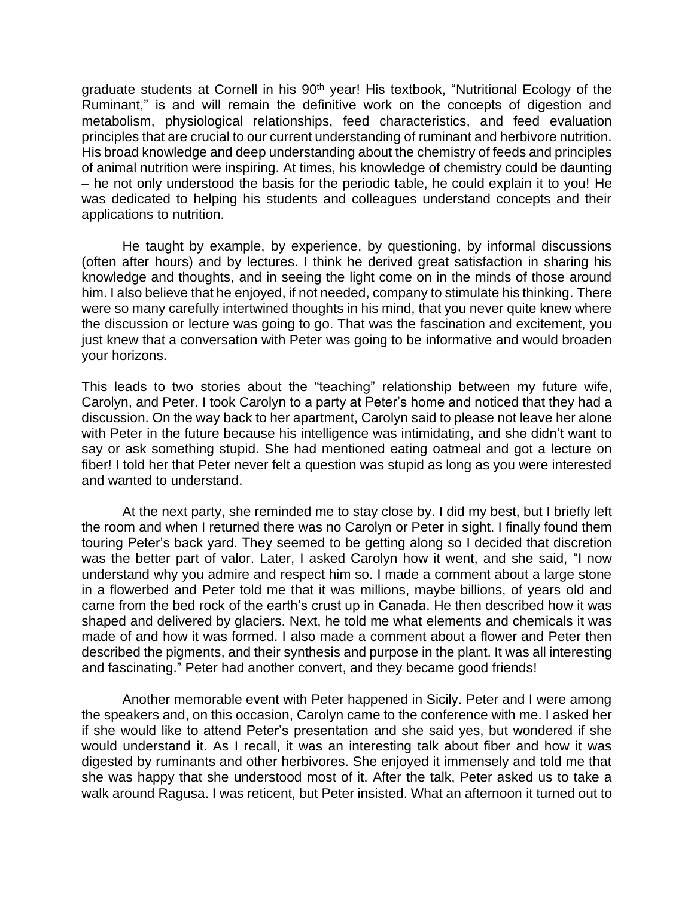graduate students at Cornell in his 90<sup>th</sup> year! His textbook, "Nutritional Ecology of the Ruminant," is and will remain the definitive work on the concepts of digestion and metabolism, physiological relationships, feed characteristics, and feed evaluation principles that are crucial to our current understanding of ruminant and herbivore nutrition. His broad knowledge and deep understanding about the chemistry of feeds and principles of animal nutrition were inspiring. At times, his knowledge of chemistry could be daunting – he not only understood the basis for the periodic table, he could explain it to you! He was dedicated to helping his students and colleagues understand concepts and their applications to nutrition.

He taught by example, by experience, by questioning, by informal discussions (often after hours) and by lectures. I think he derived great satisfaction in sharing his knowledge and thoughts, and in seeing the light come on in the minds of those around him. I also believe that he enjoyed, if not needed, company to stimulate his thinking. There were so many carefully intertwined thoughts in his mind, that you never quite knew where the discussion or lecture was going to go. That was the fascination and excitement, you just knew that a conversation with Peter was going to be informative and would broaden your horizons.

This leads to two stories about the "teaching" relationship between my future wife, Carolyn, and Peter. I took Carolyn to a party at Peter's home and noticed that they had a discussion. On the way back to her apartment, Carolyn said to please not leave her alone with Peter in the future because his intelligence was intimidating, and she didn't want to say or ask something stupid. She had mentioned eating oatmeal and got a lecture on fiber! I told her that Peter never felt a question was stupid as long as you were interested and wanted to understand.

At the next party, she reminded me to stay close by. I did my best, but I briefly left the room and when I returned there was no Carolyn or Peter in sight. I finally found them touring Peter's back yard. They seemed to be getting along so I decided that discretion was the better part of valor. Later, I asked Carolyn how it went, and she said, "I now understand why you admire and respect him so. I made a comment about a large stone in a flowerbed and Peter told me that it was millions, maybe billions, of years old and came from the bed rock of the earth's crust up in Canada. He then described how it was shaped and delivered by glaciers. Next, he told me what elements and chemicals it was made of and how it was formed. I also made a comment about a flower and Peter then described the pigments, and their synthesis and purpose in the plant. It was all interesting and fascinating." Peter had another convert, and they became good friends!

Another memorable event with Peter happened in Sicily. Peter and I were among the speakers and, on this occasion, Carolyn came to the conference with me. I asked her if she would like to attend Peter's presentation and she said yes, but wondered if she would understand it. As I recall, it was an interesting talk about fiber and how it was digested by ruminants and other herbivores. She enjoyed it immensely and told me that she was happy that she understood most of it. After the talk, Peter asked us to take a walk around Ragusa. I was reticent, but Peter insisted. What an afternoon it turned out to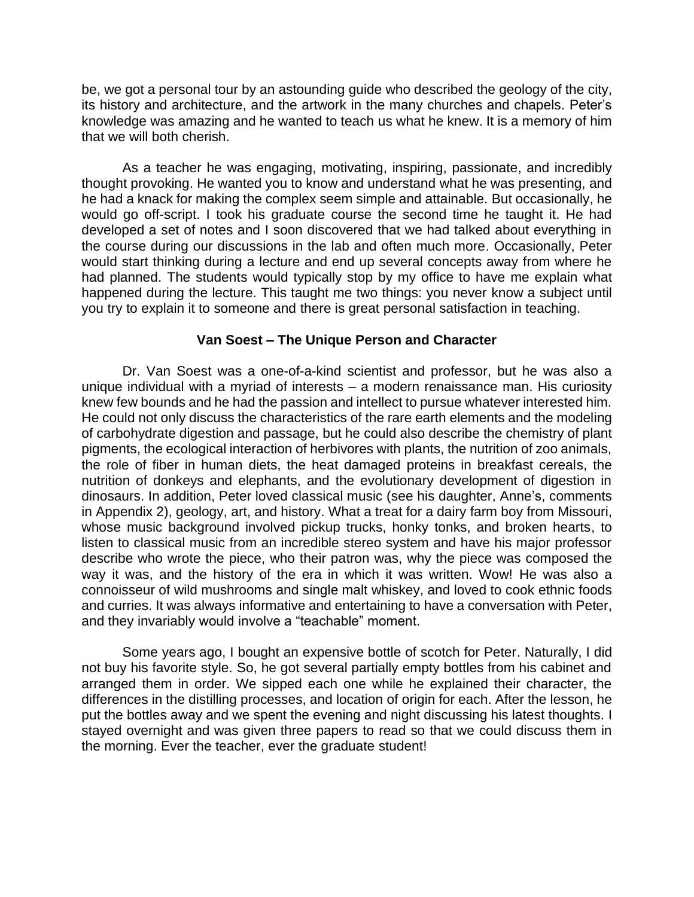be, we got a personal tour by an astounding guide who described the geology of the city, its history and architecture, and the artwork in the many churches and chapels. Peter's knowledge was amazing and he wanted to teach us what he knew. It is a memory of him that we will both cherish.

As a teacher he was engaging, motivating, inspiring, passionate, and incredibly thought provoking. He wanted you to know and understand what he was presenting, and he had a knack for making the complex seem simple and attainable. But occasionally, he would go off-script. I took his graduate course the second time he taught it. He had developed a set of notes and I soon discovered that we had talked about everything in the course during our discussions in the lab and often much more. Occasionally, Peter would start thinking during a lecture and end up several concepts away from where he had planned. The students would typically stop by my office to have me explain what happened during the lecture. This taught me two things: you never know a subject until you try to explain it to someone and there is great personal satisfaction in teaching.

## **Van Soest – The Unique Person and Character**

Dr. Van Soest was a one-of-a-kind scientist and professor, but he was also a unique individual with a myriad of interests – a modern renaissance man. His curiosity knew few bounds and he had the passion and intellect to pursue whatever interested him. He could not only discuss the characteristics of the rare earth elements and the modeling of carbohydrate digestion and passage, but he could also describe the chemistry of plant pigments, the ecological interaction of herbivores with plants, the nutrition of zoo animals, the role of fiber in human diets, the heat damaged proteins in breakfast cereals, the nutrition of donkeys and elephants, and the evolutionary development of digestion in dinosaurs. In addition, Peter loved classical music (see his daughter, Anne's, comments in Appendix 2), geology, art, and history. What a treat for a dairy farm boy from Missouri, whose music background involved pickup trucks, honky tonks, and broken hearts, to listen to classical music from an incredible stereo system and have his major professor describe who wrote the piece, who their patron was, why the piece was composed the way it was, and the history of the era in which it was written. Wow! He was also a connoisseur of wild mushrooms and single malt whiskey, and loved to cook ethnic foods and curries. It was always informative and entertaining to have a conversation with Peter, and they invariably would involve a "teachable" moment.

Some years ago, I bought an expensive bottle of scotch for Peter. Naturally, I did not buy his favorite style. So, he got several partially empty bottles from his cabinet and arranged them in order. We sipped each one while he explained their character, the differences in the distilling processes, and location of origin for each. After the lesson, he put the bottles away and we spent the evening and night discussing his latest thoughts. I stayed overnight and was given three papers to read so that we could discuss them in the morning. Ever the teacher, ever the graduate student!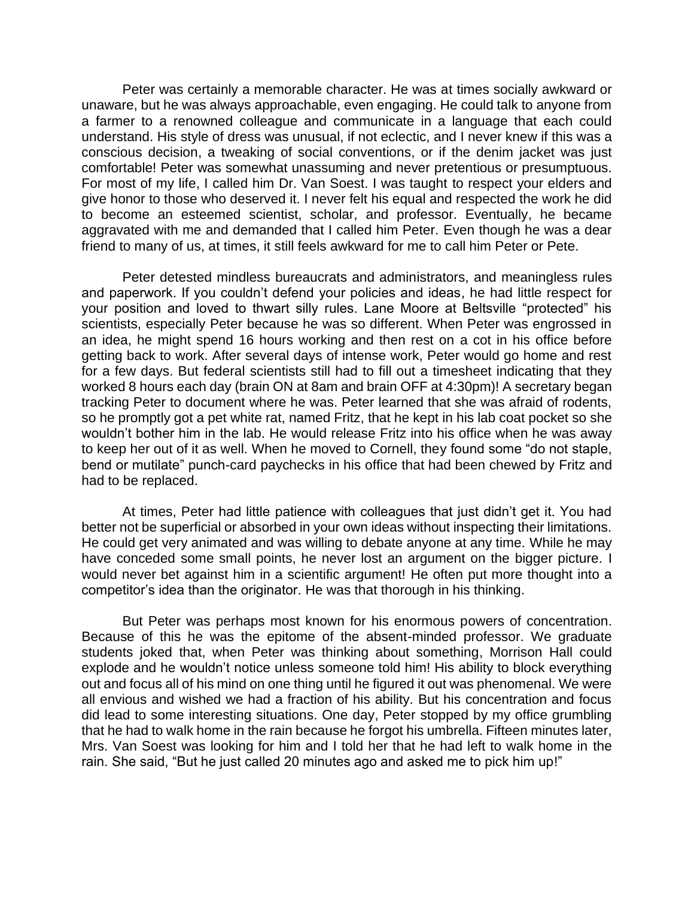Peter was certainly a memorable character. He was at times socially awkward or unaware, but he was always approachable, even engaging. He could talk to anyone from a farmer to a renowned colleague and communicate in a language that each could understand. His style of dress was unusual, if not eclectic, and I never knew if this was a conscious decision, a tweaking of social conventions, or if the denim jacket was just comfortable! Peter was somewhat unassuming and never pretentious or presumptuous. For most of my life, I called him Dr. Van Soest. I was taught to respect your elders and give honor to those who deserved it. I never felt his equal and respected the work he did to become an esteemed scientist, scholar, and professor. Eventually, he became aggravated with me and demanded that I called him Peter. Even though he was a dear friend to many of us, at times, it still feels awkward for me to call him Peter or Pete.

Peter detested mindless bureaucrats and administrators, and meaningless rules and paperwork. If you couldn't defend your policies and ideas, he had little respect for your position and loved to thwart silly rules. Lane Moore at Beltsville "protected" his scientists, especially Peter because he was so different. When Peter was engrossed in an idea, he might spend 16 hours working and then rest on a cot in his office before getting back to work. After several days of intense work, Peter would go home and rest for a few days. But federal scientists still had to fill out a timesheet indicating that they worked 8 hours each day (brain ON at 8am and brain OFF at 4:30pm)! A secretary began tracking Peter to document where he was. Peter learned that she was afraid of rodents, so he promptly got a pet white rat, named Fritz, that he kept in his lab coat pocket so she wouldn't bother him in the lab. He would release Fritz into his office when he was away to keep her out of it as well. When he moved to Cornell, they found some "do not staple, bend or mutilate" punch-card paychecks in his office that had been chewed by Fritz and had to be replaced.

At times, Peter had little patience with colleagues that just didn't get it. You had better not be superficial or absorbed in your own ideas without inspecting their limitations. He could get very animated and was willing to debate anyone at any time. While he may have conceded some small points, he never lost an argument on the bigger picture. I would never bet against him in a scientific argument! He often put more thought into a competitor's idea than the originator. He was that thorough in his thinking.

But Peter was perhaps most known for his enormous powers of concentration. Because of this he was the epitome of the absent-minded professor. We graduate students joked that, when Peter was thinking about something, Morrison Hall could explode and he wouldn't notice unless someone told him! His ability to block everything out and focus all of his mind on one thing until he figured it out was phenomenal. We were all envious and wished we had a fraction of his ability. But his concentration and focus did lead to some interesting situations. One day, Peter stopped by my office grumbling that he had to walk home in the rain because he forgot his umbrella. Fifteen minutes later, Mrs. Van Soest was looking for him and I told her that he had left to walk home in the rain. She said, "But he just called 20 minutes ago and asked me to pick him up!"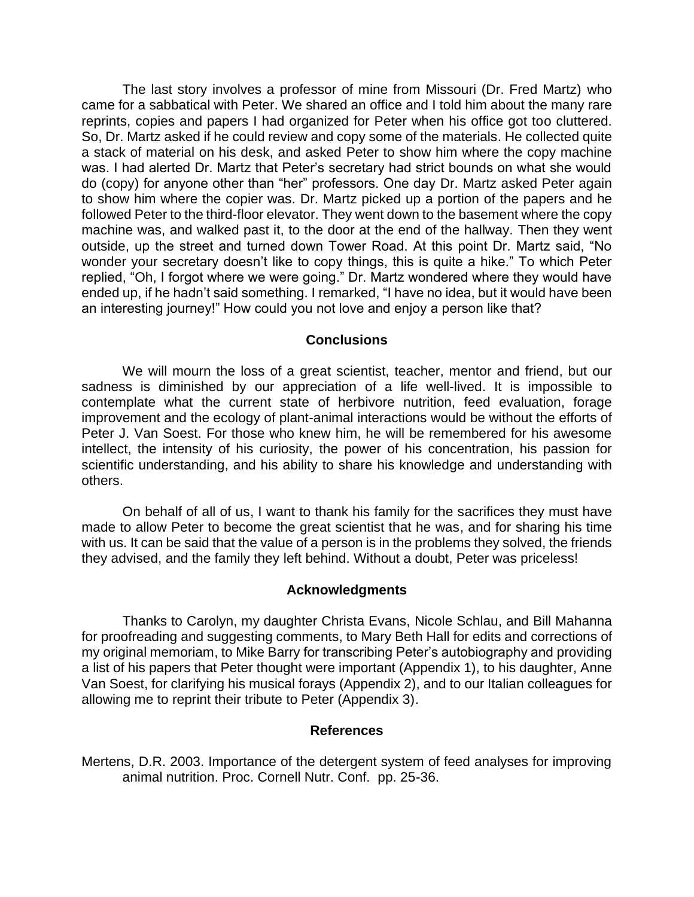The last story involves a professor of mine from Missouri (Dr. Fred Martz) who came for a sabbatical with Peter. We shared an office and I told him about the many rare reprints, copies and papers I had organized for Peter when his office got too cluttered. So, Dr. Martz asked if he could review and copy some of the materials. He collected quite a stack of material on his desk, and asked Peter to show him where the copy machine was. I had alerted Dr. Martz that Peter's secretary had strict bounds on what she would do (copy) for anyone other than "her" professors. One day Dr. Martz asked Peter again to show him where the copier was. Dr. Martz picked up a portion of the papers and he followed Peter to the third-floor elevator. They went down to the basement where the copy machine was, and walked past it, to the door at the end of the hallway. Then they went outside, up the street and turned down Tower Road. At this point Dr. Martz said, "No wonder your secretary doesn't like to copy things, this is quite a hike." To which Peter replied, "Oh, I forgot where we were going." Dr. Martz wondered where they would have ended up, if he hadn't said something. I remarked, "I have no idea, but it would have been an interesting journey!" How could you not love and enjoy a person like that?

## **Conclusions**

We will mourn the loss of a great scientist, teacher, mentor and friend, but our sadness is diminished by our appreciation of a life well-lived. It is impossible to contemplate what the current state of herbivore nutrition, feed evaluation, forage improvement and the ecology of plant-animal interactions would be without the efforts of Peter J. Van Soest. For those who knew him, he will be remembered for his awesome intellect, the intensity of his curiosity, the power of his concentration, his passion for scientific understanding, and his ability to share his knowledge and understanding with others.

On behalf of all of us, I want to thank his family for the sacrifices they must have made to allow Peter to become the great scientist that he was, and for sharing his time with us. It can be said that the value of a person is in the problems they solved, the friends they advised, and the family they left behind. Without a doubt, Peter was priceless!

#### **Acknowledgments**

Thanks to Carolyn, my daughter Christa Evans, Nicole Schlau, and Bill Mahanna for proofreading and suggesting comments, to Mary Beth Hall for edits and corrections of my original memoriam, to Mike Barry for transcribing Peter's autobiography and providing a list of his papers that Peter thought were important (Appendix 1), to his daughter, Anne Van Soest, for clarifying his musical forays (Appendix 2), and to our Italian colleagues for allowing me to reprint their tribute to Peter (Appendix 3).

#### **References**

Mertens, D.R. 2003. Importance of the detergent system of feed analyses for improving animal nutrition. Proc. Cornell Nutr. Conf. pp. 25-36.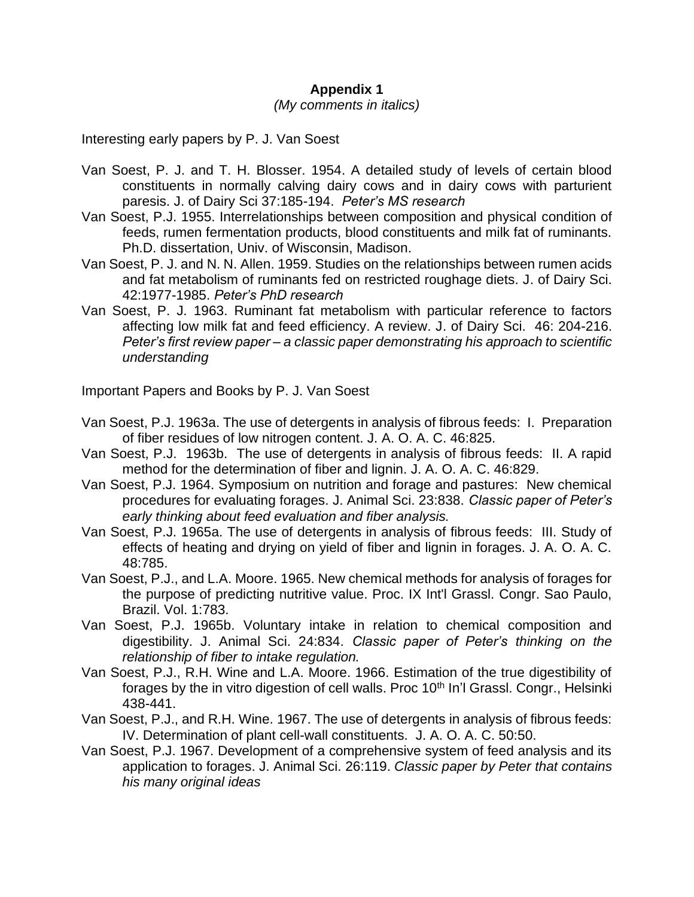## **Appendix 1**

## *(My comments in italics)*

Interesting early papers by P. J. Van Soest

- Van Soest, P. J. and T. H. Blosser. 1954. A detailed study of levels of certain blood constituents in normally calving dairy cows and in dairy cows with parturient paresis. J. of Dairy Sci 37:185-194. *Peter's MS research*
- Van Soest, P.J. 1955. Interrelationships between composition and physical condition of feeds, rumen fermentation products, blood constituents and milk fat of ruminants. Ph.D. dissertation, Univ. of Wisconsin, Madison.
- Van Soest, P. J. and N. N. Allen. 1959. Studies on the relationships between rumen acids and fat metabolism of ruminants fed on restricted roughage diets. J. of Dairy Sci. 42:1977-1985. *Peter's PhD research*
- Van Soest, P. J. 1963. Ruminant fat metabolism with particular reference to factors affecting low milk fat and feed efficiency. A review. J. of Dairy Sci. 46: 204-216. *Peter's first review paper – a classic paper demonstrating his approach to scientific understanding*

Important Papers and Books by P. J. Van Soest

- Van Soest, P.J. 1963a. The use of detergents in analysis of fibrous feeds: I. Preparation of fiber residues of low nitrogen content. J. A. O. A. C. 46:825.
- Van Soest, P.J. 1963b. The use of detergents in analysis of fibrous feeds: II. A rapid method for the determination of fiber and lignin. J. A. O. A. C. 46:829.
- Van Soest, P.J. 1964. Symposium on nutrition and forage and pastures: New chemical procedures for evaluating forages. J. Animal Sci. 23:838. *Classic paper of Peter's early thinking about feed evaluation and fiber analysis.*
- Van Soest, P.J. 1965a. The use of detergents in analysis of fibrous feeds: III. Study of effects of heating and drying on yield of fiber and lignin in forages. J. A. O. A. C. 48:785.
- Van Soest, P.J., and L.A. Moore. 1965. New chemical methods for analysis of forages for the purpose of predicting nutritive value. Proc. IX Int'l Grassl. Congr. Sao Paulo, Brazil. Vol. 1:783.
- Van Soest, P.J. 1965b. Voluntary intake in relation to chemical composition and digestibility. J. Animal Sci. 24:834. *Classic paper of Peter's thinking on the relationship of fiber to intake regulation.*
- Van Soest, P.J., R.H. Wine and L.A. Moore. 1966. Estimation of the true digestibility of forages by the in vitro digestion of cell walls. Proc 10<sup>th</sup> In'l Grassl. Congr., Helsinki 438-441.
- Van Soest, P.J., and R.H. Wine. 1967. The use of detergents in analysis of fibrous feeds: IV. Determination of plant cell-wall constituents. J. A. O. A. C. 50:50.
- Van Soest, P.J. 1967. Development of a comprehensive system of feed analysis and its application to forages. J. Animal Sci. 26:119. *Classic paper by Peter that contains his many original ideas*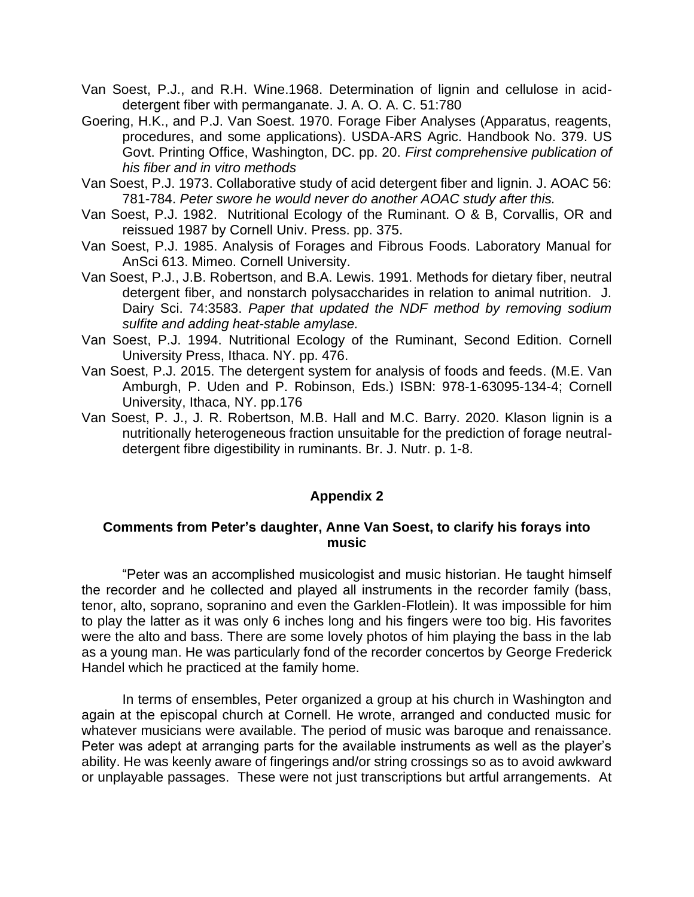- Van Soest, P.J., and R.H. Wine.1968. Determination of lignin and cellulose in aciddetergent fiber with permanganate. J. A. O. A. C. 51:780
- Goering, H.K., and P.J. Van Soest. 1970. Forage Fiber Analyses (Apparatus, reagents, procedures, and some applications). USDA-ARS Agric. Handbook No. 379. US Govt. Printing Office, Washington, DC. pp. 20. *First comprehensive publication of his fiber and in vitro methods*
- Van Soest, P.J. 1973. Collaborative study of acid detergent fiber and lignin. J. AOAC 56: 781-784. *Peter swore he would never do another AOAC study after this.*
- Van Soest, P.J. 1982. Nutritional Ecology of the Ruminant. O & B, Corvallis, OR and reissued 1987 by Cornell Univ. Press. pp. 375.
- Van Soest, P.J. 1985. Analysis of Forages and Fibrous Foods. Laboratory Manual for AnSci 613. Mimeo. Cornell University.
- Van Soest, P.J., J.B. Robertson, and B.A. Lewis. 1991. Methods for dietary fiber, neutral detergent fiber, and nonstarch polysaccharides in relation to animal nutrition. J. Dairy Sci. 74:3583. *Paper that updated the NDF method by removing sodium sulfite and adding heat-stable amylase.*
- Van Soest, P.J. 1994. Nutritional Ecology of the Ruminant, Second Edition. Cornell University Press, Ithaca. NY. pp. 476.
- Van Soest, P.J. 2015. The detergent system for analysis of foods and feeds. (M.E. Van Amburgh, P. Uden and P. Robinson, Eds.) ISBN: 978-1-63095-134-4; Cornell University, Ithaca, NY. pp.176
- Van Soest, P. J., J. R. Robertson, M.B. Hall and M.C. Barry. 2020. Klason lignin is a nutritionally heterogeneous fraction unsuitable for the prediction of forage neutraldetergent fibre digestibility in ruminants. Br. J. Nutr. p. 1-8.

## **Appendix 2**

## **Comments from Peter's daughter, Anne Van Soest, to clarify his forays into music**

"Peter was an accomplished musicologist and music historian. He taught himself the recorder and he collected and played all instruments in the recorder family (bass, tenor, alto, soprano, sopranino and even the Garklen-Flotlein). It was impossible for him to play the latter as it was only 6 inches long and his fingers were too big. His favorites were the alto and bass. There are some lovely photos of him playing the bass in the lab as a young man. He was particularly fond of the recorder concertos by George Frederick Handel which he practiced at the family home.

In terms of ensembles, Peter organized a group at his church in Washington and again at the episcopal church at Cornell. He wrote, arranged and conducted music for whatever musicians were available. The period of music was baroque and renaissance. Peter was adept at arranging parts for the available instruments as well as the player's ability. He was keenly aware of fingerings and/or string crossings so as to avoid awkward or unplayable passages. These were not just transcriptions but artful arrangements. At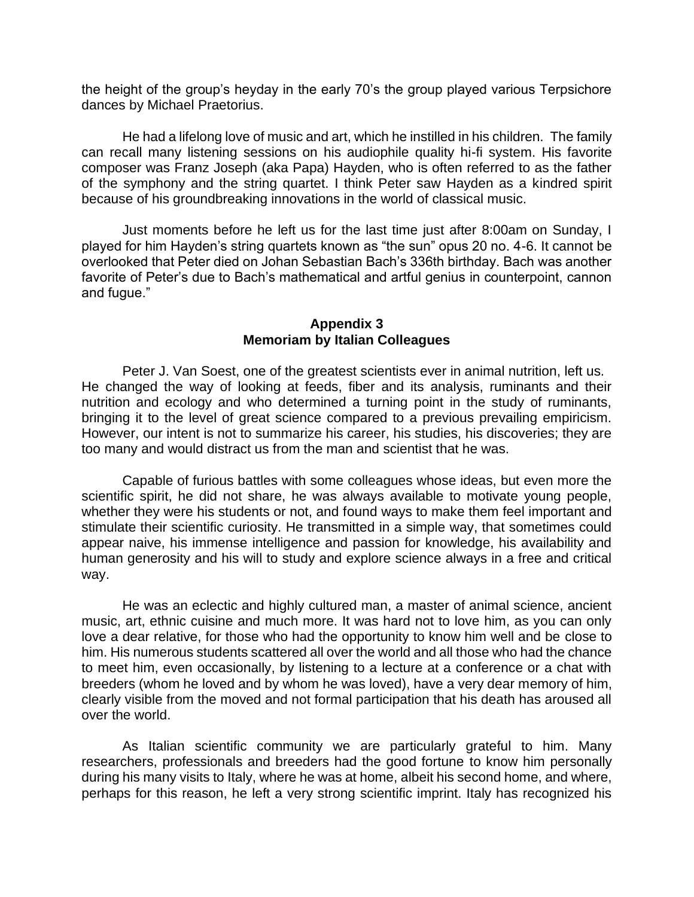the height of the group's heyday in the early 70's the group played various Terpsichore dances by Michael Praetorius.

He had a lifelong love of music and art, which he instilled in his children. The family can recall many listening sessions on his audiophile quality hi-fi system. His favorite composer was Franz Joseph (aka Papa) Hayden, who is often referred to as the father of the symphony and the string quartet. I think Peter saw Hayden as a kindred spirit because of his groundbreaking innovations in the world of classical music.

Just moments before he left us for the last time just after 8:00am on Sunday, I played for him Hayden's string quartets known as "the sun" opus 20 no. 4-6. It cannot be overlooked that Peter died on Johan Sebastian Bach's 336th birthday. Bach was another favorite of Peter's due to Bach's mathematical and artful genius in counterpoint, cannon and fugue."

## **Appendix 3 Memoriam by Italian Colleagues**

Peter J. Van Soest, one of the greatest scientists ever in animal nutrition, left us. He changed the way of looking at feeds, fiber and its analysis, ruminants and their nutrition and ecology and who determined a turning point in the study of ruminants, bringing it to the level of great science compared to a previous prevailing empiricism. However, our intent is not to summarize his career, his studies, his discoveries; they are too many and would distract us from the man and scientist that he was.

Capable of furious battles with some colleagues whose ideas, but even more the scientific spirit, he did not share, he was always available to motivate young people, whether they were his students or not, and found ways to make them feel important and stimulate their scientific curiosity. He transmitted in a simple way, that sometimes could appear naive, his immense intelligence and passion for knowledge, his availability and human generosity and his will to study and explore science always in a free and critical way.

He was an eclectic and highly cultured man, a master of animal science, ancient music, art, ethnic cuisine and much more. It was hard not to love him, as you can only love a dear relative, for those who had the opportunity to know him well and be close to him. His numerous students scattered all over the world and all those who had the chance to meet him, even occasionally, by listening to a lecture at a conference or a chat with breeders (whom he loved and by whom he was loved), have a very dear memory of him, clearly visible from the moved and not formal participation that his death has aroused all over the world.

As Italian scientific community we are particularly grateful to him. Many researchers, professionals and breeders had the good fortune to know him personally during his many visits to Italy, where he was at home, albeit his second home, and where, perhaps for this reason, he left a very strong scientific imprint. Italy has recognized his